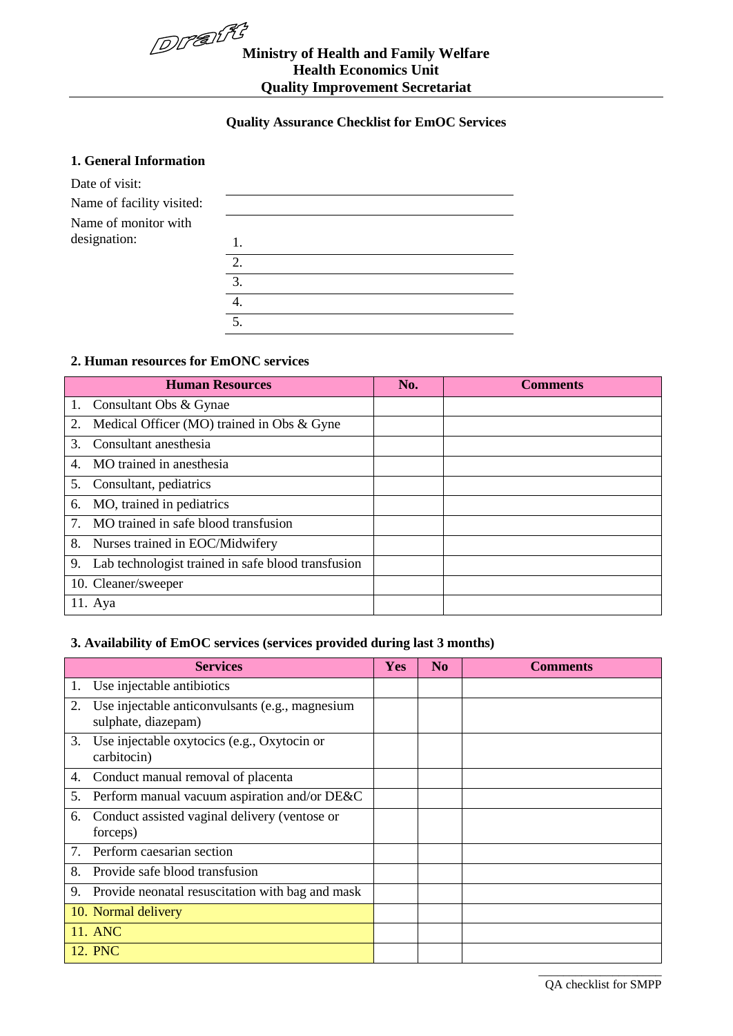

# **Ministry of Health and Family Welfare Health Economics Unit Quality Improvement Secretariat**

#### **Quality Assurance Checklist for EmOC Services**

#### **1. General Information**

| Date of visit:            |    |
|---------------------------|----|
| Name of facility visited: |    |
| Name of monitor with      |    |
| designation:              | 1. |
|                           | 2. |
|                           | 3. |
|                           | 4. |
|                           | 5. |

#### **2. Human resources for EmONC services**

| <b>Human Resources</b>                                                            | No. | <b>Comments</b> |
|-----------------------------------------------------------------------------------|-----|-----------------|
| 1. Consultant Obs & Gynae                                                         |     |                 |
| Medical Officer (MO) trained in Obs & Gyne<br>2.                                  |     |                 |
| Consultant anesthesia<br>$\mathcal{E}$                                            |     |                 |
| MO trained in anesthesia<br>4.                                                    |     |                 |
| Consultant, pediatrics<br>5.                                                      |     |                 |
| MO, trained in pediatrics<br>6.                                                   |     |                 |
| MO trained in safe blood transfusion<br>$7_{\scriptscriptstyle{\ddot{\text{c}}}}$ |     |                 |
| 8.<br>Nurses trained in EOC/Midwifery                                             |     |                 |
| Lab technologist trained in safe blood transfusion<br>9.                          |     |                 |
| 10. Cleaner/sweeper                                                               |     |                 |
| 11. Aya                                                                           |     |                 |

#### **3. Availability of EmOC services (services provided during last 3 months)**

|    | <b>Services</b>                                                        | <b>Yes</b> | N <sub>0</sub> | <b>Comments</b> |
|----|------------------------------------------------------------------------|------------|----------------|-----------------|
| 1. | Use injectable antibiotics                                             |            |                |                 |
| 2. | Use injectable anticonvulsants (e.g., magnesium<br>sulphate, diazepam) |            |                |                 |
| 3. | Use injectable oxytocics (e.g., Oxytocin or<br>carbitocin)             |            |                |                 |
| 4. | Conduct manual removal of placenta                                     |            |                |                 |
| 5. | Perform manual vacuum aspiration and/or DE&C                           |            |                |                 |
| 6. | Conduct assisted vaginal delivery (ventose or<br>forceps)              |            |                |                 |
| 7. | Perform caesarian section                                              |            |                |                 |
| 8. | Provide safe blood transfusion                                         |            |                |                 |
| 9. | Provide neonatal resuscitation with bag and mask                       |            |                |                 |
|    | 10. Normal delivery                                                    |            |                |                 |
|    | 11. ANC                                                                |            |                |                 |
|    | 12. PNC                                                                |            |                |                 |
|    |                                                                        |            |                |                 |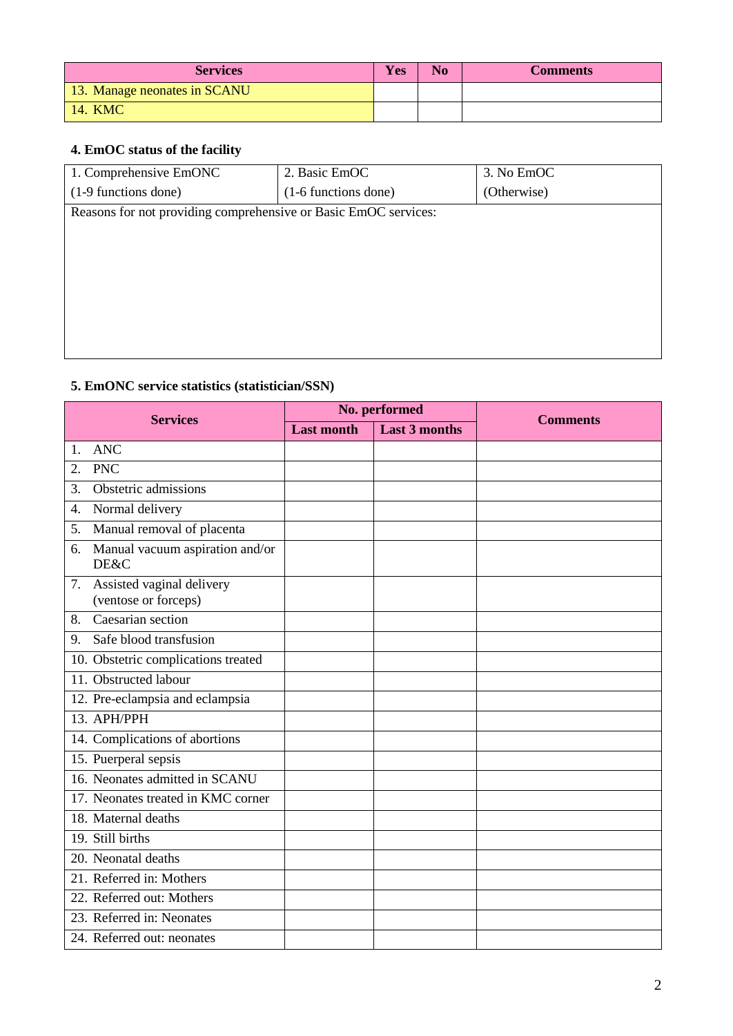| <b>Services</b>              | Yes | N <sub>0</sub> | <b>Comments</b> |
|------------------------------|-----|----------------|-----------------|
| 13. Manage neonates in SCANU |     |                |                 |
| 14. KMC                      |     |                |                 |

# **4. EmOC status of the facility**

| 1. Comprehensive EmONC                                          | 2. Basic EmOC        | 3. No EmOC  |
|-----------------------------------------------------------------|----------------------|-------------|
| (1-9 functions done)                                            | (1-6 functions done) | (Otherwise) |
| Reasons for not providing comprehensive or Basic EmOC services: |                      |             |
|                                                                 |                      |             |
|                                                                 |                      |             |
|                                                                 |                      |             |
|                                                                 |                      |             |
|                                                                 |                      |             |
|                                                                 |                      |             |
|                                                                 |                      |             |

# **5. EmONC service statistics (statistician/SSN)**

| <b>Services</b>                                         |                   | No. performed        | <b>Comments</b> |
|---------------------------------------------------------|-------------------|----------------------|-----------------|
|                                                         | <b>Last month</b> | <b>Last 3 months</b> |                 |
| <b>ANC</b><br>$\mathbf{1}_{\cdot}$                      |                   |                      |                 |
| <b>PNC</b><br>2.                                        |                   |                      |                 |
| Obstetric admissions<br>3.                              |                   |                      |                 |
| Normal delivery<br>$\overline{4}$ .                     |                   |                      |                 |
| Manual removal of placenta<br>5.                        |                   |                      |                 |
| Manual vacuum aspiration and/or<br>6.<br>DE&C           |                   |                      |                 |
| Assisted vaginal delivery<br>7.<br>(ventose or forceps) |                   |                      |                 |
| Caesarian section<br>8.                                 |                   |                      |                 |
| Safe blood transfusion<br>9.                            |                   |                      |                 |
| 10. Obstetric complications treated                     |                   |                      |                 |
| 11. Obstructed labour                                   |                   |                      |                 |
| 12. Pre-eclampsia and eclampsia                         |                   |                      |                 |
| 13. APH/PPH                                             |                   |                      |                 |
| 14. Complications of abortions                          |                   |                      |                 |
| 15. Puerperal sepsis                                    |                   |                      |                 |
| 16. Neonates admitted in SCANU                          |                   |                      |                 |
| 17. Neonates treated in KMC corner                      |                   |                      |                 |
| 18. Maternal deaths                                     |                   |                      |                 |
| 19. Still births                                        |                   |                      |                 |
| 20. Neonatal deaths                                     |                   |                      |                 |
| 21. Referred in: Mothers                                |                   |                      |                 |
| 22. Referred out: Mothers                               |                   |                      |                 |
| 23. Referred in: Neonates                               |                   |                      |                 |
| 24. Referred out: neonates                              |                   |                      |                 |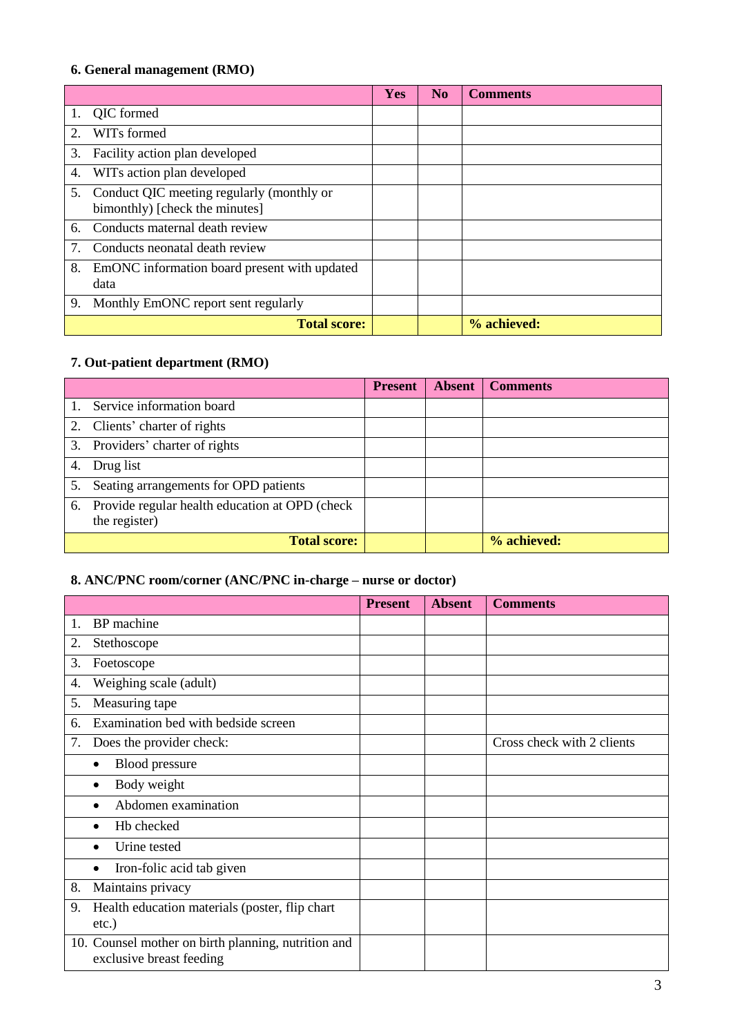## **6. General management (RMO)**

|    |                                                                             | <b>Yes</b> | N <sub>0</sub> | <b>Comments</b> |
|----|-----------------------------------------------------------------------------|------------|----------------|-----------------|
| 1. | QIC formed                                                                  |            |                |                 |
| 2. | WIT <sub>s</sub> formed                                                     |            |                |                 |
| 3. | Facility action plan developed                                              |            |                |                 |
| 4. | WITs action plan developed                                                  |            |                |                 |
| 5. | Conduct QIC meeting regularly (monthly or<br>bimonthly) [check the minutes] |            |                |                 |
| 6. | Conducts maternal death review                                              |            |                |                 |
| 7. | Conducts neonatal death review                                              |            |                |                 |
| 8. | EmONC information board present with updated<br>data                        |            |                |                 |
| 9. | Monthly EmONC report sent regularly                                         |            |                |                 |
|    | <b>Total score:</b>                                                         |            |                | % achieved:     |

# **7. Out-patient department (RMO)**

|    |                                                                    | <b>Present</b> | <b>Absent</b> | <b>Comments</b> |
|----|--------------------------------------------------------------------|----------------|---------------|-----------------|
|    | Service information board                                          |                |               |                 |
|    | 2. Clients' charter of rights                                      |                |               |                 |
|    | 3. Providers' charter of rights                                    |                |               |                 |
| 4. | Drug list                                                          |                |               |                 |
| 5. | Seating arrangements for OPD patients                              |                |               |                 |
|    | 6. Provide regular health education at OPD (check<br>the register) |                |               |                 |
|    | <b>Total score:</b>                                                |                |               | % achieved:     |

## **8. ANC/PNC room/corner (ANC/PNC in-charge – nurse or doctor)**

|    |                                                                                 | <b>Present</b> | <b>Absent</b> | <b>Comments</b>            |
|----|---------------------------------------------------------------------------------|----------------|---------------|----------------------------|
| 1. | BP machine                                                                      |                |               |                            |
| 2. | Stethoscope                                                                     |                |               |                            |
| 3. | Foetoscope                                                                      |                |               |                            |
| 4. | Weighing scale (adult)                                                          |                |               |                            |
| 5. | Measuring tape                                                                  |                |               |                            |
| 6. | Examination bed with bedside screen                                             |                |               |                            |
| 7. | Does the provider check:                                                        |                |               | Cross check with 2 clients |
|    | <b>Blood</b> pressure<br>$\bullet$                                              |                |               |                            |
|    | Body weight                                                                     |                |               |                            |
|    | Abdomen examination                                                             |                |               |                            |
|    | Hb checked                                                                      |                |               |                            |
|    | Urine tested                                                                    |                |               |                            |
|    | Iron-folic acid tab given<br>$\bullet$                                          |                |               |                            |
| 8. | Maintains privacy                                                               |                |               |                            |
| 9. | Health education materials (poster, flip chart<br>$etc.$ )                      |                |               |                            |
|    | 10. Counsel mother on birth planning, nutrition and<br>exclusive breast feeding |                |               |                            |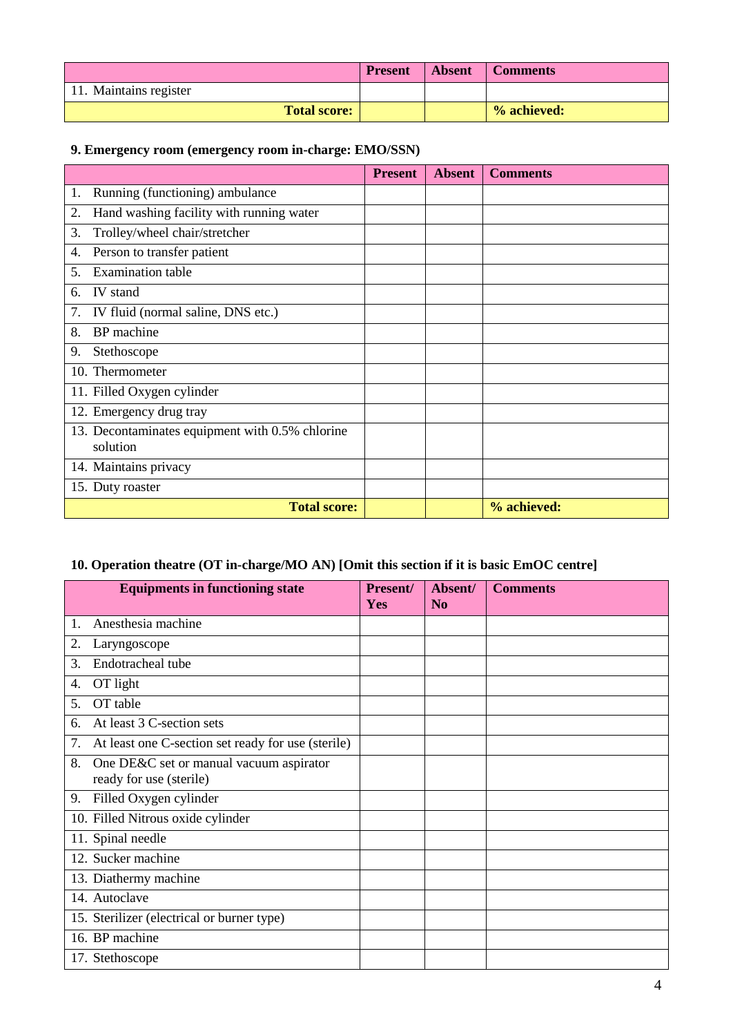|                        | <b>Present</b> | <b>Absent</b> | Comments    |
|------------------------|----------------|---------------|-------------|
| 11. Maintains register |                |               |             |
| <b>Total score:</b>    |                |               | % achieved: |

### **9. Emergency room (emergency room in-charge: EMO/SSN)**

|                                                             | <b>Present</b> | <b>Absent</b> | <b>Comments</b> |
|-------------------------------------------------------------|----------------|---------------|-----------------|
| Running (functioning) ambulance<br>1.                       |                |               |                 |
| Hand washing facility with running water<br>2.              |                |               |                 |
| 3.<br>Trolley/wheel chair/stretcher                         |                |               |                 |
| Person to transfer patient<br>4.                            |                |               |                 |
| <b>Examination</b> table<br>5.                              |                |               |                 |
| IV stand<br>6.                                              |                |               |                 |
| IV fluid (normal saline, DNS etc.)<br>7.                    |                |               |                 |
| BP machine<br>8.                                            |                |               |                 |
| 9.<br>Stethoscope                                           |                |               |                 |
| 10. Thermometer                                             |                |               |                 |
| 11. Filled Oxygen cylinder                                  |                |               |                 |
| 12. Emergency drug tray                                     |                |               |                 |
| 13. Decontaminates equipment with 0.5% chlorine<br>solution |                |               |                 |
| 14. Maintains privacy                                       |                |               |                 |
| 15. Duty roaster                                            |                |               |                 |
| <b>Total score:</b>                                         |                |               | % achieved:     |

# **10. Operation theatre (OT in-charge/MO AN) [Omit this section if it is basic EmOC centre]**

|    | <b>Equipments in functioning state</b>                             | Present/<br><b>Yes</b> | Absent/<br>N <sub>0</sub> | <b>Comments</b> |
|----|--------------------------------------------------------------------|------------------------|---------------------------|-----------------|
| 1. | Anesthesia machine                                                 |                        |                           |                 |
| 2. | Laryngoscope                                                       |                        |                           |                 |
| 3. | Endotracheal tube                                                  |                        |                           |                 |
| 4. | OT light                                                           |                        |                           |                 |
| 5. | OT table                                                           |                        |                           |                 |
| 6. | At least 3 C-section sets                                          |                        |                           |                 |
| 7. | At least one C-section set ready for use (sterile)                 |                        |                           |                 |
| 8. | One DE&C set or manual vacuum aspirator<br>ready for use (sterile) |                        |                           |                 |
| 9. | Filled Oxygen cylinder                                             |                        |                           |                 |
|    | 10. Filled Nitrous oxide cylinder                                  |                        |                           |                 |
|    | 11. Spinal needle                                                  |                        |                           |                 |
|    | 12. Sucker machine                                                 |                        |                           |                 |
|    | 13. Diathermy machine                                              |                        |                           |                 |
|    | 14. Autoclave                                                      |                        |                           |                 |
|    | 15. Sterilizer (electrical or burner type)                         |                        |                           |                 |
|    | 16. BP machine                                                     |                        |                           |                 |
|    | 17. Stethoscope                                                    |                        |                           |                 |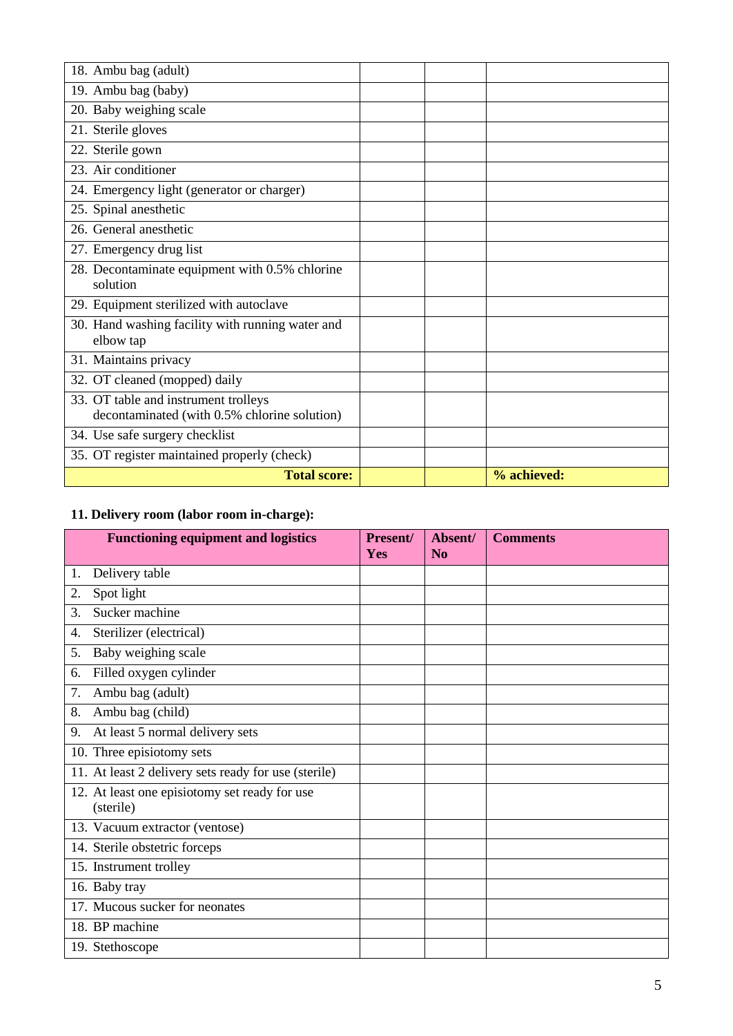| 18. Ambu bag (adult)                                                                 |             |
|--------------------------------------------------------------------------------------|-------------|
| 19. Ambu bag (baby)                                                                  |             |
| 20. Baby weighing scale                                                              |             |
| 21. Sterile gloves                                                                   |             |
| 22. Sterile gown                                                                     |             |
| 23. Air conditioner                                                                  |             |
| 24. Emergency light (generator or charger)                                           |             |
| 25. Spinal anesthetic                                                                |             |
| 26. General anesthetic                                                               |             |
| 27. Emergency drug list                                                              |             |
| 28. Decontaminate equipment with 0.5% chlorine                                       |             |
| solution                                                                             |             |
| 29. Equipment sterilized with autoclave                                              |             |
| 30. Hand washing facility with running water and<br>elbow tap                        |             |
| 31. Maintains privacy                                                                |             |
| 32. OT cleaned (mopped) daily                                                        |             |
| 33. OT table and instrument trolleys<br>decontaminated (with 0.5% chlorine solution) |             |
| 34. Use safe surgery checklist                                                       |             |
| 35. OT register maintained properly (check)                                          |             |
| <b>Total score:</b>                                                                  | % achieved: |

# **11. Delivery room (labor room in-charge):**

|    | <b>Functioning equipment and logistics</b>                 | <b>Present/</b><br>Yes | Absent/<br>N <sub>0</sub> | <b>Comments</b> |
|----|------------------------------------------------------------|------------------------|---------------------------|-----------------|
| 1. | Delivery table                                             |                        |                           |                 |
| 2. | Spot light                                                 |                        |                           |                 |
| 3. | Sucker machine                                             |                        |                           |                 |
| 4. | Sterilizer (electrical)                                    |                        |                           |                 |
| 5. | Baby weighing scale                                        |                        |                           |                 |
| 6. | Filled oxygen cylinder                                     |                        |                           |                 |
| 7. | Ambu bag (adult)                                           |                        |                           |                 |
| 8. | Ambu bag (child)                                           |                        |                           |                 |
| 9. | At least 5 normal delivery sets                            |                        |                           |                 |
|    | 10. Three episiotomy sets                                  |                        |                           |                 |
|    | 11. At least 2 delivery sets ready for use (sterile)       |                        |                           |                 |
|    | 12. At least one episiotomy set ready for use<br>(sterile) |                        |                           |                 |
|    | 13. Vacuum extractor (ventose)                             |                        |                           |                 |
|    | 14. Sterile obstetric forceps                              |                        |                           |                 |
|    | 15. Instrument trolley                                     |                        |                           |                 |
|    | 16. Baby tray                                              |                        |                           |                 |
|    | 17. Mucous sucker for neonates                             |                        |                           |                 |
|    | 18. BP machine                                             |                        |                           |                 |
|    | 19. Stethoscope                                            |                        |                           |                 |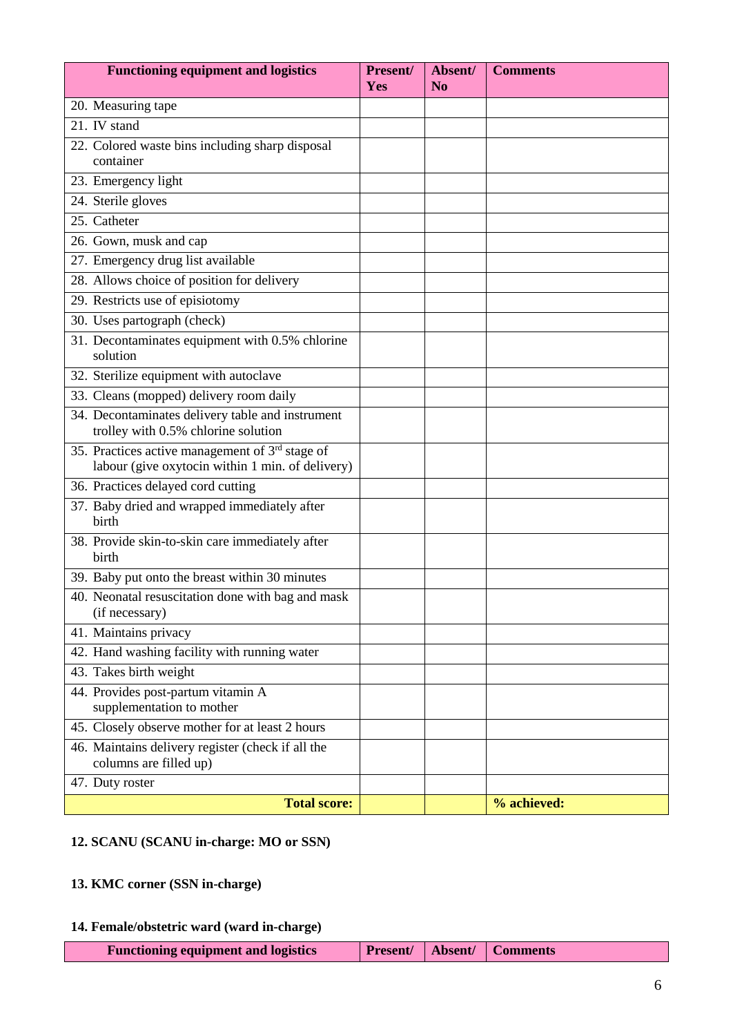| <b>Functioning equipment and logistics</b>                                                            | Present/<br>Yes | Absent/<br>N <sub>o</sub> | <b>Comments</b> |
|-------------------------------------------------------------------------------------------------------|-----------------|---------------------------|-----------------|
| 20. Measuring tape                                                                                    |                 |                           |                 |
| 21. IV stand                                                                                          |                 |                           |                 |
| 22. Colored waste bins including sharp disposal                                                       |                 |                           |                 |
| container                                                                                             |                 |                           |                 |
| 23. Emergency light                                                                                   |                 |                           |                 |
| 24. Sterile gloves                                                                                    |                 |                           |                 |
| 25. Catheter                                                                                          |                 |                           |                 |
| 26. Gown, musk and cap                                                                                |                 |                           |                 |
| 27. Emergency drug list available                                                                     |                 |                           |                 |
| 28. Allows choice of position for delivery                                                            |                 |                           |                 |
| 29. Restricts use of episiotomy                                                                       |                 |                           |                 |
| 30. Uses partograph (check)                                                                           |                 |                           |                 |
| 31. Decontaminates equipment with 0.5% chlorine<br>solution                                           |                 |                           |                 |
| 32. Sterilize equipment with autoclave                                                                |                 |                           |                 |
| 33. Cleans (mopped) delivery room daily                                                               |                 |                           |                 |
| 34. Decontaminates delivery table and instrument<br>trolley with 0.5% chlorine solution               |                 |                           |                 |
| 35. Practices active management of $3rd$ stage of<br>labour (give oxytocin within 1 min. of delivery) |                 |                           |                 |
| 36. Practices delayed cord cutting                                                                    |                 |                           |                 |
| 37. Baby dried and wrapped immediately after<br>birth                                                 |                 |                           |                 |
| 38. Provide skin-to-skin care immediately after<br>birth                                              |                 |                           |                 |
| 39. Baby put onto the breast within 30 minutes                                                        |                 |                           |                 |
| 40. Neonatal resuscitation done with bag and mask<br>(if necessary)                                   |                 |                           |                 |
| 41. Maintains privacy                                                                                 |                 |                           |                 |
| 42. Hand washing facility with running water                                                          |                 |                           |                 |
| 43. Takes birth weight                                                                                |                 |                           |                 |
| 44. Provides post-partum vitamin A<br>supplementation to mother                                       |                 |                           |                 |
| 45. Closely observe mother for at least 2 hours                                                       |                 |                           |                 |
| 46. Maintains delivery register (check if all the<br>columns are filled up)                           |                 |                           |                 |
| 47. Duty roster                                                                                       |                 |                           |                 |
| <b>Total score:</b>                                                                                   |                 |                           | % achieved:     |

### **12. SCANU (SCANU in-charge: MO or SSN)**

## **13. KMC corner (SSN in-charge)**

## **14. Female/obstetric ward (ward in-charge)**

| <b>Functioning equipment and logistics</b> |  |  | <b>Present/   Absent/   Comments</b> |
|--------------------------------------------|--|--|--------------------------------------|
|--------------------------------------------|--|--|--------------------------------------|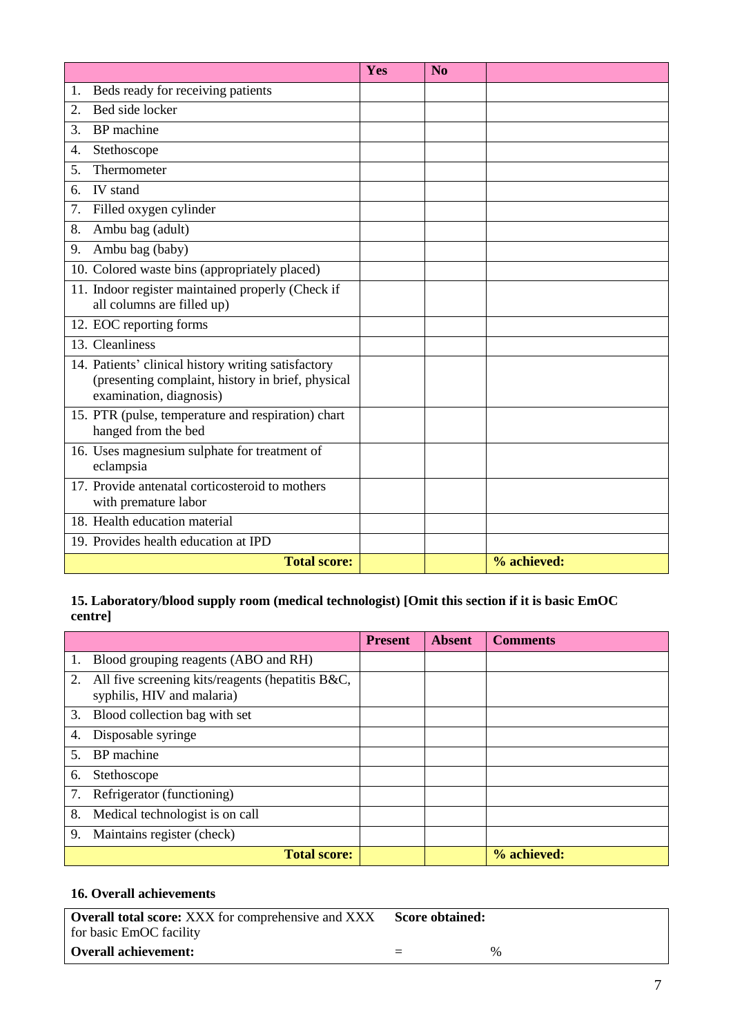|                                                                                                                                     | Yes | No          |  |
|-------------------------------------------------------------------------------------------------------------------------------------|-----|-------------|--|
| Beds ready for receiving patients<br>1.                                                                                             |     |             |  |
| Bed side locker<br>2.                                                                                                               |     |             |  |
| 3.<br>BP machine                                                                                                                    |     |             |  |
| Stethoscope<br>4.                                                                                                                   |     |             |  |
| Thermometer<br>5.                                                                                                                   |     |             |  |
| <b>IV</b> stand<br>6.                                                                                                               |     |             |  |
| Filled oxygen cylinder<br>7.                                                                                                        |     |             |  |
| Ambu bag (adult)<br>8.                                                                                                              |     |             |  |
| Ambu bag (baby)<br>9.                                                                                                               |     |             |  |
| 10. Colored waste bins (appropriately placed)                                                                                       |     |             |  |
| 11. Indoor register maintained properly (Check if<br>all columns are filled up)                                                     |     |             |  |
| 12. EOC reporting forms                                                                                                             |     |             |  |
| 13. Cleanliness                                                                                                                     |     |             |  |
| 14. Patients' clinical history writing satisfactory<br>(presenting complaint, history in brief, physical<br>examination, diagnosis) |     |             |  |
| 15. PTR (pulse, temperature and respiration) chart<br>hanged from the bed                                                           |     |             |  |
| 16. Uses magnesium sulphate for treatment of<br>eclampsia                                                                           |     |             |  |
| 17. Provide antenatal corticosteroid to mothers<br>with premature labor                                                             |     |             |  |
| 18. Health education material                                                                                                       |     |             |  |
| 19. Provides health education at IPD                                                                                                |     |             |  |
| <b>Total score:</b>                                                                                                                 |     | % achieved: |  |

#### **15. Laboratory/blood supply room (medical technologist) [Omit this section if it is basic EmOC centre]**

|    |                                                                                | <b>Present</b> | <b>Absent</b> | <b>Comments</b> |
|----|--------------------------------------------------------------------------------|----------------|---------------|-----------------|
|    | Blood grouping reagents (ABO and RH)                                           |                |               |                 |
| 2. | All five screening kits/reagents (hepatitis B&C,<br>syphilis, HIV and malaria) |                |               |                 |
| 3. | Blood collection bag with set                                                  |                |               |                 |
| 4. | Disposable syringe                                                             |                |               |                 |
| 5. | BP machine                                                                     |                |               |                 |
| 6. | Stethoscope                                                                    |                |               |                 |
| 7. | Refrigerator (functioning)                                                     |                |               |                 |
| 8. | Medical technologist is on call                                                |                |               |                 |
| 9. | Maintains register (check)                                                     |                |               |                 |
|    | <b>Total score:</b>                                                            |                |               | % achieved:     |

#### **16. Overall achievements**

| <b>Overall total score:</b> XXX for comprehensive and XXX | Score obtained: |      |
|-----------------------------------------------------------|-----------------|------|
| for basic EmOC facility                                   |                 |      |
| <b>Overall achievement:</b>                               | $=$             | $\%$ |